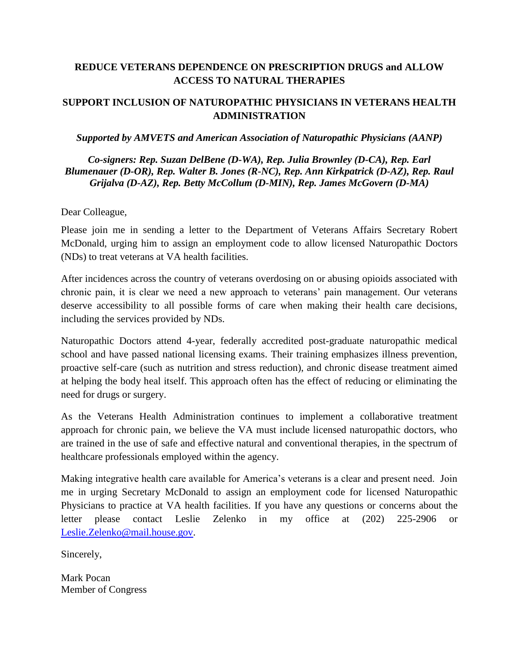## **REDUCE VETERANS DEPENDENCE ON PRESCRIPTION DRUGS and ALLOW ACCESS TO NATURAL THERAPIES**

## **SUPPORT INCLUSION OF NATUROPATHIC PHYSICIANS IN VETERANS HEALTH ADMINISTRATION**

## *Supported by AMVETS and American Association of Naturopathic Physicians (AANP)*

*Co-signers: Rep. Suzan DelBene (D-WA), Rep. Julia Brownley (D-CA), Rep. Earl Blumenauer (D-OR), Rep. Walter B. Jones (R-NC), Rep. Ann Kirkpatrick (D-AZ), Rep. Raul Grijalva (D-AZ), Rep. Betty McCollum (D-MIN), Rep. James McGovern (D-MA)*

Dear Colleague,

Please join me in sending a letter to the Department of Veterans Affairs Secretary Robert McDonald, urging him to assign an employment code to allow licensed Naturopathic Doctors (NDs) to treat veterans at VA health facilities.

After incidences across the country of veterans overdosing on or abusing opioids associated with chronic pain, it is clear we need a new approach to veterans' pain management. Our veterans deserve accessibility to all possible forms of care when making their health care decisions, including the services provided by NDs.

Naturopathic Doctors attend 4-year, federally accredited post-graduate naturopathic medical school and have passed national licensing exams. Their training emphasizes illness prevention, proactive self-care (such as nutrition and stress reduction), and chronic disease treatment aimed at helping the body heal itself. This approach often has the effect of reducing or eliminating the need for drugs or surgery.

As the Veterans Health Administration continues to implement a collaborative treatment approach for chronic pain, we believe the VA must include licensed naturopathic doctors, who are trained in the use of safe and effective natural and conventional therapies, in the spectrum of healthcare professionals employed within the agency.

Making integrative health care available for America's veterans is a clear and present need. Join me in urging Secretary McDonald to assign an employment code for licensed Naturopathic Physicians to practice at VA health facilities. If you have any questions or concerns about the letter please contact Leslie Zelenko in my office at (202) 225-2906 or [Leslie.Zelenko@mail.house.gov.](mailto:Leslie.Zelenko@mail.house.gov)

Sincerely,

Mark Pocan Member of Congress